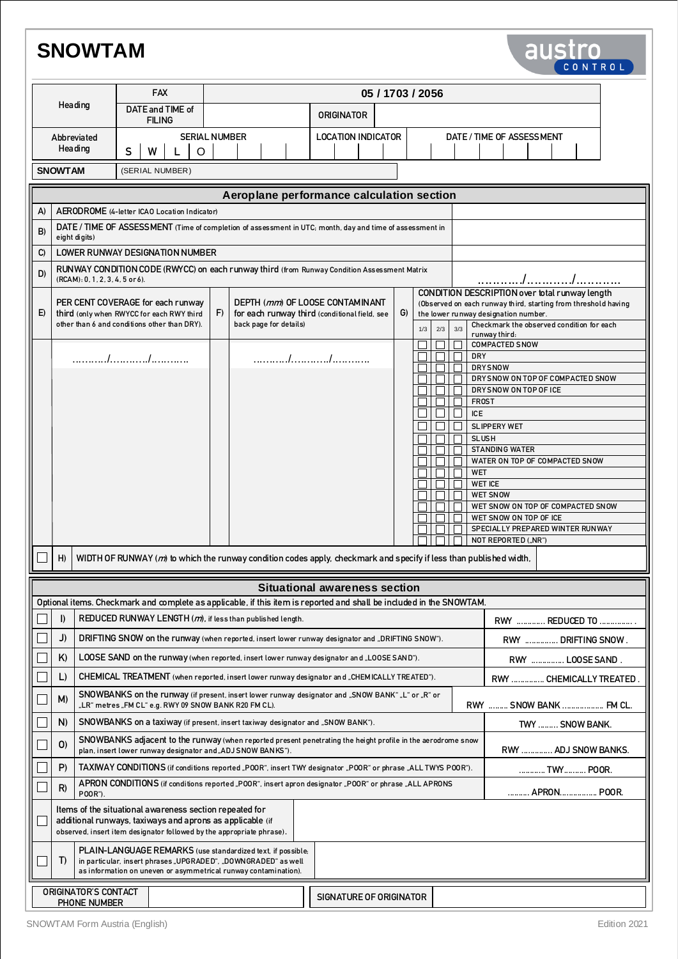# **SNOWTAM**

|                                                                                                                                | <b>SNOWTAM</b><br>austro<br>CONTROL                                                                                                                                                           |                                                                                                                                                                                                  |                                                                                |  |                 |                  |                        |                                                                                                                                                                                                |  |  |  |                                                                                  |                          |                                      |     |                        |  |                                                                   |                                   |                                                                                                                                                          |              |                                                         |                           |                                   |  |  |  |  |  |  |
|--------------------------------------------------------------------------------------------------------------------------------|-----------------------------------------------------------------------------------------------------------------------------------------------------------------------------------------------|--------------------------------------------------------------------------------------------------------------------------------------------------------------------------------------------------|--------------------------------------------------------------------------------|--|-----------------|------------------|------------------------|------------------------------------------------------------------------------------------------------------------------------------------------------------------------------------------------|--|--|--|----------------------------------------------------------------------------------|--------------------------|--------------------------------------|-----|------------------------|--|-------------------------------------------------------------------|-----------------------------------|----------------------------------------------------------------------------------------------------------------------------------------------------------|--------------|---------------------------------------------------------|---------------------------|-----------------------------------|--|--|--|--|--|--|
|                                                                                                                                |                                                                                                                                                                                               | <b>FAX</b>                                                                                                                                                                                       |                                                                                |  |                 | 05 / 1703 / 2056 |                        |                                                                                                                                                                                                |  |  |  |                                                                                  |                          |                                      |     |                        |  |                                                                   |                                   |                                                                                                                                                          |              |                                                         |                           |                                   |  |  |  |  |  |  |
| Heading<br>Abbreviated<br>Hea ding                                                                                             |                                                                                                                                                                                               |                                                                                                                                                                                                  | DATE and TIME of<br><b>FILING</b>                                              |  |                 |                  |                        |                                                                                                                                                                                                |  |  |  | <b>ORIGINATOR</b>                                                                |                          |                                      |     |                        |  |                                                                   |                                   |                                                                                                                                                          |              |                                                         |                           |                                   |  |  |  |  |  |  |
|                                                                                                                                |                                                                                                                                                                                               |                                                                                                                                                                                                  | $\Omega$<br>S<br>W<br>$\mathsf{L}$                                             |  |                 |                  | <b>SERIAL NUMBER</b>   |                                                                                                                                                                                                |  |  |  | <b>LOCATION INDICATOR</b>                                                        |                          |                                      |     |                        |  |                                                                   |                                   |                                                                                                                                                          |              |                                                         | DATE / TIME OF ASSESSMENT |                                   |  |  |  |  |  |  |
|                                                                                                                                | <b>SNOWTAM</b>                                                                                                                                                                                |                                                                                                                                                                                                  |                                                                                |  | (SERIAL NUMBER) |                  |                        |                                                                                                                                                                                                |  |  |  |                                                                                  |                          |                                      |     |                        |  |                                                                   |                                   |                                                                                                                                                          |              |                                                         |                           |                                   |  |  |  |  |  |  |
|                                                                                                                                |                                                                                                                                                                                               |                                                                                                                                                                                                  | Aeroplane performance calculation section                                      |  |                 |                  |                        |                                                                                                                                                                                                |  |  |  |                                                                                  |                          |                                      |     |                        |  |                                                                   |                                   |                                                                                                                                                          |              |                                                         |                           |                                   |  |  |  |  |  |  |
| A)                                                                                                                             |                                                                                                                                                                                               | AERODROME (4-letter ICAO Location Indicator)                                                                                                                                                     |                                                                                |  |                 |                  |                        |                                                                                                                                                                                                |  |  |  |                                                                                  |                          |                                      |     |                        |  |                                                                   |                                   |                                                                                                                                                          |              |                                                         |                           |                                   |  |  |  |  |  |  |
| B)                                                                                                                             | DATE / TIME OF ASSESSMENT (Time of completion of assessment in UTC; month, day and time of assessment in                                                                                      |                                                                                                                                                                                                  |                                                                                |  |                 |                  |                        |                                                                                                                                                                                                |  |  |  |                                                                                  |                          |                                      |     |                        |  |                                                                   |                                   |                                                                                                                                                          |              |                                                         |                           |                                   |  |  |  |  |  |  |
| eight digits)<br><b>LOWER RUNWAY DESIGNATION NUMBER</b><br>C)<br>D)                                                            |                                                                                                                                                                                               |                                                                                                                                                                                                  |                                                                                |  |                 |                  |                        |                                                                                                                                                                                                |  |  |  |                                                                                  |                          |                                      |     |                        |  |                                                                   |                                   |                                                                                                                                                          |              |                                                         |                           |                                   |  |  |  |  |  |  |
| RUNWAY CONDITION CODE (RWYCC) on each runway third (from Runway Condition Assessment Matrix<br>(RCAM): 0, 1, 2, 3, 4, 5 or 6). |                                                                                                                                                                                               |                                                                                                                                                                                                  |                                                                                |  |                 |                  |                        |                                                                                                                                                                                                |  |  |  |                                                                                  |                          |                                      |     |                        |  |                                                                   |                                   |                                                                                                                                                          |              |                                                         |                           |                                   |  |  |  |  |  |  |
| E)                                                                                                                             |                                                                                                                                                                                               |                                                                                                                                                                                                  | PER CENT COVERAGE for each runway<br>third (only when RWYCC for each RWY third |  |                 |                  | F)                     |                                                                                                                                                                                                |  |  |  | DEPTH (mm) OF LOOSE CONTAMINANT<br>for each runway third (conditional field, see |                          |                                      |     | G)                     |  |                                                                   |                                   | CONDITION DESCRIPTION over total runway length<br>(Observed on each runway third, starting from threshold having<br>the lower runway designation number. |              |                                                         |                           |                                   |  |  |  |  |  |  |
| other than 6 and conditions other than DRY).                                                                                   |                                                                                                                                                                                               |                                                                                                                                                                                                  |                                                                                |  |                 |                  | back page for details) |                                                                                                                                                                                                |  |  |  |                                                                                  |                          |                                      | 1/3 | 2/3                    |  | Checkmark the observed condition for each<br>3/3<br>runway third: |                                   |                                                                                                                                                          |              |                                                         |                           |                                   |  |  |  |  |  |  |
|                                                                                                                                |                                                                                                                                                                                               |                                                                                                                                                                                                  |                                                                                |  |                 |                  |                        |                                                                                                                                                                                                |  |  |  |                                                                                  |                          |                                      |     |                        |  |                                                                   |                                   |                                                                                                                                                          | <b>DRY</b>   | <b>COMPACTED SNOW</b>                                   |                           |                                   |  |  |  |  |  |  |
|                                                                                                                                |                                                                                                                                                                                               |                                                                                                                                                                                                  |                                                                                |  |                 |                  |                        |                                                                                                                                                                                                |  |  |  |                                                                                  |                          |                                      |     |                        |  |                                                                   |                                   |                                                                                                                                                          |              | <b>DRYSNOW</b>                                          |                           |                                   |  |  |  |  |  |  |
|                                                                                                                                |                                                                                                                                                                                               |                                                                                                                                                                                                  |                                                                                |  |                 |                  |                        |                                                                                                                                                                                                |  |  |  |                                                                                  |                          |                                      |     |                        |  |                                                                   |                                   | DRY SNOW ON TOP OF COMPACTED SNOW<br>DRY SNOW ON TOP OF ICE                                                                                              |              |                                                         |                           |                                   |  |  |  |  |  |  |
|                                                                                                                                |                                                                                                                                                                                               |                                                                                                                                                                                                  |                                                                                |  |                 |                  |                        |                                                                                                                                                                                                |  |  |  |                                                                                  |                          |                                      |     |                        |  |                                                                   |                                   |                                                                                                                                                          | <b>FROST</b> |                                                         |                           |                                   |  |  |  |  |  |  |
|                                                                                                                                |                                                                                                                                                                                               |                                                                                                                                                                                                  |                                                                                |  |                 |                  |                        |                                                                                                                                                                                                |  |  |  |                                                                                  |                          |                                      |     |                        |  |                                                                   |                                   |                                                                                                                                                          | <b>ICE</b>   | <b>SLIPPERY WET</b>                                     |                           |                                   |  |  |  |  |  |  |
|                                                                                                                                |                                                                                                                                                                                               |                                                                                                                                                                                                  |                                                                                |  |                 |                  |                        |                                                                                                                                                                                                |  |  |  |                                                                                  |                          |                                      |     |                        |  |                                                                   |                                   |                                                                                                                                                          | <b>SLUSH</b> |                                                         |                           |                                   |  |  |  |  |  |  |
|                                                                                                                                |                                                                                                                                                                                               |                                                                                                                                                                                                  |                                                                                |  |                 |                  |                        |                                                                                                                                                                                                |  |  |  |                                                                                  |                          |                                      |     |                        |  |                                                                   |                                   |                                                                                                                                                          |              | <b>STANDING WATER</b><br>WATER ON TOP OF COMPACTED SNOW |                           |                                   |  |  |  |  |  |  |
|                                                                                                                                |                                                                                                                                                                                               |                                                                                                                                                                                                  |                                                                                |  |                 |                  |                        |                                                                                                                                                                                                |  |  |  |                                                                                  |                          |                                      |     |                        |  |                                                                   |                                   |                                                                                                                                                          | <b>WET</b>   |                                                         |                           |                                   |  |  |  |  |  |  |
|                                                                                                                                |                                                                                                                                                                                               |                                                                                                                                                                                                  |                                                                                |  |                 |                  |                        |                                                                                                                                                                                                |  |  |  |                                                                                  |                          |                                      |     |                        |  |                                                                   | <b>WET ICE</b><br><b>WET SNOW</b> |                                                                                                                                                          |              |                                                         |                           |                                   |  |  |  |  |  |  |
|                                                                                                                                |                                                                                                                                                                                               |                                                                                                                                                                                                  |                                                                                |  |                 |                  |                        |                                                                                                                                                                                                |  |  |  |                                                                                  |                          |                                      |     |                        |  |                                                                   |                                   |                                                                                                                                                          |              |                                                         |                           | WET SNOW ON TOP OF COMPACTED SNOW |  |  |  |  |  |  |
|                                                                                                                                |                                                                                                                                                                                               |                                                                                                                                                                                                  |                                                                                |  |                 |                  |                        |                                                                                                                                                                                                |  |  |  |                                                                                  |                          |                                      |     |                        |  | WET SNOW ON TOP OF ICE<br>SPECIAL LY PREPARED WINTER RUNWAY       |                                   |                                                                                                                                                          |              |                                                         |                           |                                   |  |  |  |  |  |  |
|                                                                                                                                |                                                                                                                                                                                               |                                                                                                                                                                                                  |                                                                                |  |                 |                  |                        |                                                                                                                                                                                                |  |  |  |                                                                                  |                          |                                      |     |                        |  | NOT REPORTED ("NR")                                               |                                   |                                                                                                                                                          |              |                                                         |                           |                                   |  |  |  |  |  |  |
| WIDTH OF RUNWAY (m) to which the runway condition codes apply, checkmark and specify if less than published width,<br>H)       |                                                                                                                                                                                               |                                                                                                                                                                                                  |                                                                                |  |                 |                  |                        |                                                                                                                                                                                                |  |  |  |                                                                                  |                          |                                      |     |                        |  |                                                                   |                                   |                                                                                                                                                          |              |                                                         |                           |                                   |  |  |  |  |  |  |
|                                                                                                                                |                                                                                                                                                                                               |                                                                                                                                                                                                  |                                                                                |  |                 |                  |                        |                                                                                                                                                                                                |  |  |  |                                                                                  |                          | <b>Situational awareness section</b> |     |                        |  |                                                                   |                                   |                                                                                                                                                          |              |                                                         |                           |                                   |  |  |  |  |  |  |
|                                                                                                                                |                                                                                                                                                                                               | Optional items. Checkmark and complete as applicable, if this item is reported and shall be included in the SNOWTAM.                                                                             |                                                                                |  |                 |                  |                        |                                                                                                                                                                                                |  |  |  |                                                                                  |                          |                                      |     |                        |  |                                                                   |                                   |                                                                                                                                                          |              |                                                         |                           |                                   |  |  |  |  |  |  |
|                                                                                                                                | I)<br>REDUCED RUNWAY LENGTH (m), if less than published length.                                                                                                                               |                                                                                                                                                                                                  |                                                                                |  |                 |                  |                        |                                                                                                                                                                                                |  |  |  |                                                                                  |                          |                                      |     |                        |  |                                                                   |                                   |                                                                                                                                                          |              | RWY  REDUCED TO                                         |                           |                                   |  |  |  |  |  |  |
|                                                                                                                                | J)<br>K)                                                                                                                                                                                      |                                                                                                                                                                                                  |                                                                                |  |                 |                  |                        | DRIFTING SNOW on the runway (when reported, insert lower runway designator and "DRIFTING SNOW").<br>LOOSE SAND on the runway (when reported, insert lower runway designator and "LOOSE SAND"). |  |  |  |                                                                                  |                          |                                      |     |                        |  |                                                                   |                                   |                                                                                                                                                          |              | RWY  DRIFTING SNOW.<br>RWY  LOOSE SAND.                 |                           |                                   |  |  |  |  |  |  |
|                                                                                                                                | L)<br>CHEMICAL TREATMENT (when reported, insert lower runway designator and "CHEMICALLY TREATED").                                                                                            |                                                                                                                                                                                                  |                                                                                |  |                 |                  |                        |                                                                                                                                                                                                |  |  |  |                                                                                  | RWY  CHEMICALLY TREATED. |                                      |     |                        |  |                                                                   |                                   |                                                                                                                                                          |              |                                                         |                           |                                   |  |  |  |  |  |  |
|                                                                                                                                | SNOWBANKS on the runway (if present, insert lower runway designator and "SNOW BANK" "L" or "R" or<br>M)<br>"LR" metres "FM CL" e.g. RWY 09 SNOW BANK R20 FM CL).                              |                                                                                                                                                                                                  |                                                                                |  |                 |                  |                        |                                                                                                                                                                                                |  |  |  |                                                                                  |                          |                                      |     | RWY  SNOW BANK  FM CL. |  |                                                                   |                                   |                                                                                                                                                          |              |                                                         |                           |                                   |  |  |  |  |  |  |
|                                                                                                                                | N)<br>SNOWBANKS on a taxiway (if present, insert taxiway designator and "SNOW BANK").                                                                                                         |                                                                                                                                                                                                  |                                                                                |  |                 |                  |                        |                                                                                                                                                                                                |  |  |  |                                                                                  |                          |                                      |     |                        |  |                                                                   |                                   | TWY  SNOW BANK.                                                                                                                                          |              |                                                         |                           |                                   |  |  |  |  |  |  |
|                                                                                                                                | SNOWBANKS adjacent to the runway (when reported present penetrating the height profile in the aerodrome snow<br>O<br>plan, insert lower runway designator and "ADJ SNOW BANKS").              |                                                                                                                                                                                                  |                                                                                |  |                 |                  |                        |                                                                                                                                                                                                |  |  |  |                                                                                  |                          |                                      |     |                        |  | RWY  ADJ SNOW BANKS.                                              |                                   |                                                                                                                                                          |              |                                                         |                           |                                   |  |  |  |  |  |  |
|                                                                                                                                | P)<br>TAXIWAY CONDITIONS (if conditions reported "POOR", insert TWY designator "POOR" or phrase "ALL TWYS POOR").                                                                             |                                                                                                                                                                                                  |                                                                                |  |                 |                  |                        |                                                                                                                                                                                                |  |  |  |                                                                                  |                          |                                      |     |                        |  |                                                                   |                                   |                                                                                                                                                          |              | TWY POOR.                                               |                           |                                   |  |  |  |  |  |  |
|                                                                                                                                | R)                                                                                                                                                                                            | APRON CONDITIONS (if conditions reported "POOR", insert apron designator "POOR" or phrase "ALL APRONS<br>P00R").                                                                                 |                                                                                |  |                 |                  |                        |                                                                                                                                                                                                |  |  |  |                                                                                  | APRON POOR.              |                                      |     |                        |  |                                                                   |                                   |                                                                                                                                                          |              |                                                         |                           |                                   |  |  |  |  |  |  |
|                                                                                                                                | Items of the situational awareness section repeated for<br>additional runways, taxiways and aprons as applicable (if<br>observed, insert item designator followed by the appropriate phrase). |                                                                                                                                                                                                  |                                                                                |  |                 |                  |                        |                                                                                                                                                                                                |  |  |  |                                                                                  |                          |                                      |     |                        |  |                                                                   |                                   |                                                                                                                                                          |              |                                                         |                           |                                   |  |  |  |  |  |  |
|                                                                                                                                | T)                                                                                                                                                                                            | PLAIN-LANGUAGE REMARKS (use standardized text, if possible,<br>in particular, insert phrases "UPGRADED", "DOWNGRADED" as well<br>as information on uneven or asymmetrical runway contamination). |                                                                                |  |                 |                  |                        |                                                                                                                                                                                                |  |  |  |                                                                                  |                          |                                      |     |                        |  |                                                                   |                                   |                                                                                                                                                          |              |                                                         |                           |                                   |  |  |  |  |  |  |
|                                                                                                                                |                                                                                                                                                                                               | ORIGINATOR'S CONTACT<br>PHONE NUMBER                                                                                                                                                             |                                                                                |  |                 |                  |                        |                                                                                                                                                                                                |  |  |  |                                                                                  | SIGNATURE OF ORIGINATOR  |                                      |     |                        |  |                                                                   |                                   |                                                                                                                                                          |              |                                                         |                           |                                   |  |  |  |  |  |  |